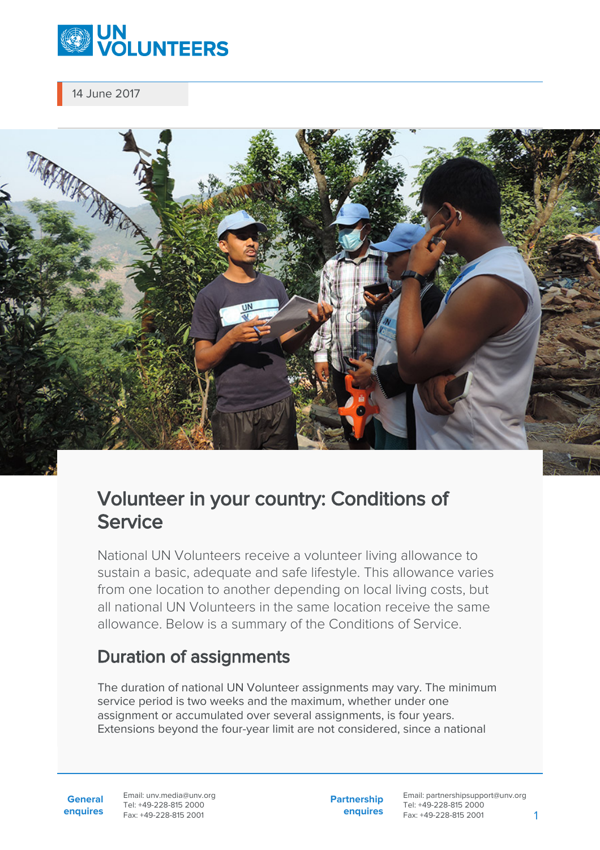

14 June 2017

# Volunteer in your country: Conditions of **Service**

National UN Volunteers receive a volunteer living allowance to sustain a basic, adequate and safe lifestyle. This allowance varies from one location to another depending on local living costs, but all national UN Volunteers in the same location receive the same allowance. Below is a summary of the Conditions of Service.

# Duration of assignments

The duration of national UN Volunteer assignments may vary. The minimum service period is two weeks and the maximum, whether under one assignment or accumulated over several assignments, is four years. Extensions beyond the four-year limit are not considered, since a national

**General enquires** Email: unv.media@unv.org Tel: +49-228-815 2000 Fax: +49-228-815 2001

**Partnership enquires** Email: partnershipsupport@unv.org Tel: +49-228-815 2000 Fax: +49-228-815 2001 1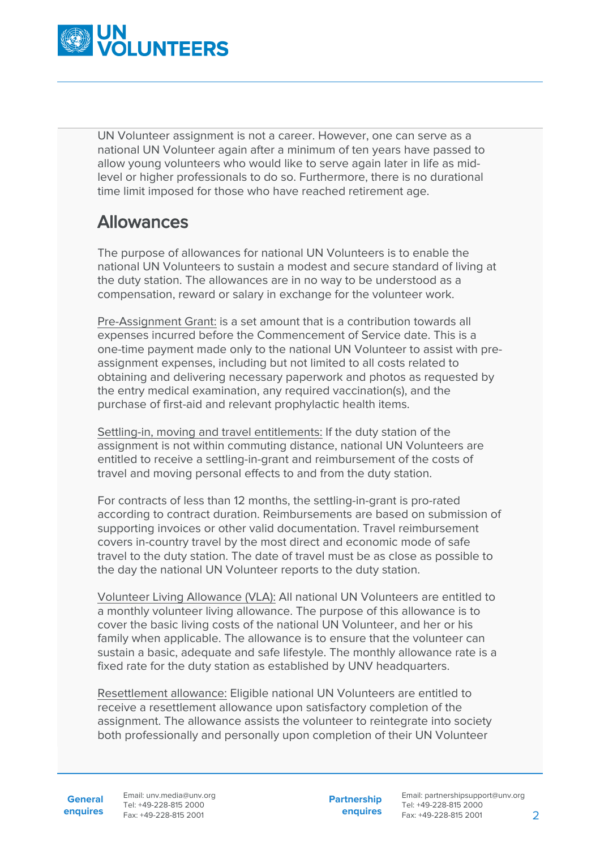

UN Volunteer assignment is not a career. However, one can serve as a national UN Volunteer again after a minimum of ten years have passed to allow young volunteers who would like to serve again later in life as midlevel or higher professionals to do so. Furthermore, there is no durational time limit imposed for those who have reached retirement age.

### Allowances

The purpose of allowances for national UN Volunteers is to enable the national UN Volunteers to sustain a modest and secure standard of living at the duty station. The allowances are in no way to be understood as a compensation, reward or salary in exchange for the volunteer work.

Pre-Assignment Grant: is a set amount that is a contribution towards all expenses incurred before the Commencement of Service date. This is a one-time payment made only to the national UN Volunteer to assist with preassignment expenses, including but not limited to all costs related to obtaining and delivering necessary paperwork and photos as requested by the entry medical examination, any required vaccination(s), and the purchase of first-aid and relevant prophylactic health items.

Settling-in, moving and travel entitlements: If the duty station of the assignment is not within commuting distance, national UN Volunteers are entitled to receive a settling-in-grant and reimbursement of the costs of travel and moving personal effects to and from the duty station.

For contracts of less than 12 months, the settling-in-grant is pro-rated according to contract duration. Reimbursements are based on submission of supporting invoices or other valid documentation. Travel reimbursement covers in-country travel by the most direct and economic mode of safe travel to the duty station. The date of travel must be as close as possible to the day the national UN Volunteer reports to the duty station.

Volunteer Living Allowance (VLA): All national UN Volunteers are entitled to a monthly volunteer living allowance. The purpose of this allowance is to cover the basic living costs of the national UN Volunteer, and her or his family when applicable. The allowance is to ensure that the volunteer can sustain a basic, adequate and safe lifestyle. The monthly allowance rate is a fixed rate for the duty station as established by UNV headquarters.

Resettlement allowance: Eligible national UN Volunteers are entitled to receive a resettlement allowance upon satisfactory completion of the assignment. The allowance assists the volunteer to reintegrate into society both professionally and personally upon completion of their UN Volunteer

**General**

**enquires** Tel: +49-228-815 2000 Fax: +49-228-815 2001 Email: unv.media@unv.org<br>Tel: +49-228-815 2000

**Partnership enquires**

Email: partnershipsupport@unv.org Tel: +49-228-815 2000 Fax: +49-228-815 2001 2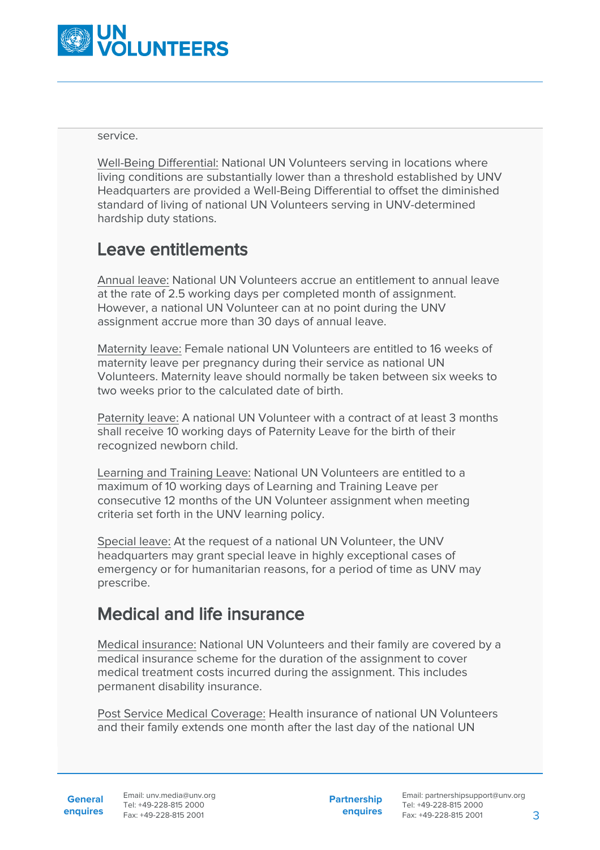

service.

Well-Being Differential: National UN Volunteers serving in locations where living conditions are substantially lower than a threshold established by UNV Headquarters are provided a Well-Being Differential to offset the diminished standard of living of national UN Volunteers serving in UNV-determined hardship duty stations.

## Leave entitlements

Annual leave: National UN Volunteers accrue an entitlement to annual leave at the rate of 2.5 working days per completed month of assignment. However, a national UN Volunteer can at no point during the UNV assignment accrue more than 30 days of annual leave.

Maternity leave: Female national UN Volunteers are entitled to 16 weeks of maternity leave per pregnancy during their service as national UN Volunteers. Maternity leave should normally be taken between six weeks to two weeks prior to the calculated date of birth.

Paternity leave: A national UN Volunteer with a contract of at least 3 months shall receive 10 working days of Paternity Leave for the birth of their recognized newborn child.

Learning and Training Leave: National UN Volunteers are entitled to a maximum of 10 working days of Learning and Training Leave per consecutive 12 months of the UN Volunteer assignment when meeting criteria set forth in the UNV learning policy.

Special leave: At the request of a national UN Volunteer, the UNV headquarters may grant special leave in highly exceptional cases of emergency or for humanitarian reasons, for a period of time as UNV may prescribe.

## Medical and life insurance

Medical insurance: National UN Volunteers and their family are covered by a medical insurance scheme for the duration of the assignment to cover medical treatment costs incurred during the assignment. This includes permanent disability insurance.

Post Service Medical Coverage: Health insurance of national UN Volunteers and their family extends one month after the last day of the national UN

**Partnership enquires**